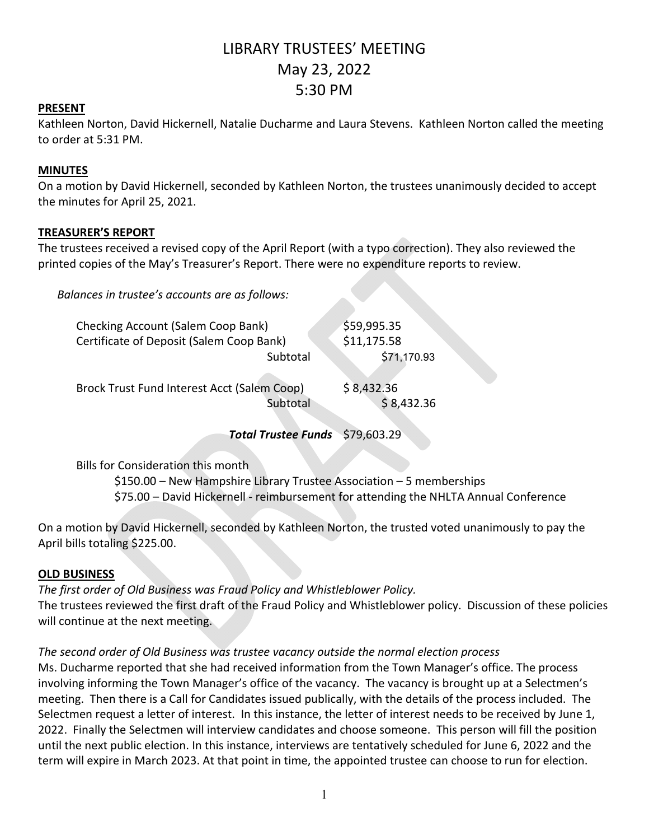# LIBRARY TRUSTEES' MEETING May 23, 2022 5:30 PM

## **PRESENT**

Kathleen Norton, David Hickernell, Natalie Ducharme and Laura Stevens. Kathleen Norton called the meeting to order at 5:31 PM.

## **MINUTES**

On a motion by David Hickernell, seconded by Kathleen Norton, the trustees unanimously decided to accept the minutes for April 25, 2021.

## **TREASURER'S REPORT**

The trustees received a revised copy of the April Report (with a typo correction). They also reviewed the printed copies of the May's Treasurer's Report. There were no expenditure reports to review.

*Balances in trustee's accounts are as follows:*

| <b>Checking Account (Salem Coop Bank)</b>   |          | \$59,995.35 |  |
|---------------------------------------------|----------|-------------|--|
| Certificate of Deposit (Salem Coop Bank)    |          | \$11,175.58 |  |
|                                             | Subtotal | \$71,170.93 |  |
| Brock Trust Fund Interest Acct (Salem Coop) |          | \$8,432.36  |  |
|                                             | Subtotal | \$8,432.36  |  |

*Total Trustee Funds* \$79,603.29

Bills for Consideration this month

\$150.00 – New Hampshire Library Trustee Association – 5 memberships \$75.00 – David Hickernell - reimbursement for attending the NHLTA Annual Conference

On a motion by David Hickernell, seconded by Kathleen Norton, the trusted voted unanimously to pay the April bills totaling \$225.00.

# **OLD BUSINESS**

*The first order of Old Business was Fraud Policy and Whistleblower Policy.* The trustees reviewed the first draft of the Fraud Policy and Whistleblower policy. Discussion of these policies will continue at the next meeting.

# *The second order of Old Business was trustee vacancy outside the normal election process*

Ms. Ducharme reported that she had received information from the Town Manager's office. The process involving informing the Town Manager's office of the vacancy. The vacancy is brought up at a Selectmen's meeting. Then there is a Call for Candidates issued publically, with the details of the process included. The Selectmen request a letter of interest. In this instance, the letter of interest needs to be received by June 1, 2022. Finally the Selectmen will interview candidates and choose someone. This person will fill the position until the next public election. In this instance, interviews are tentatively scheduled for June 6, 2022 and the term will expire in March 2023. At that point in time, the appointed trustee can choose to run for election.